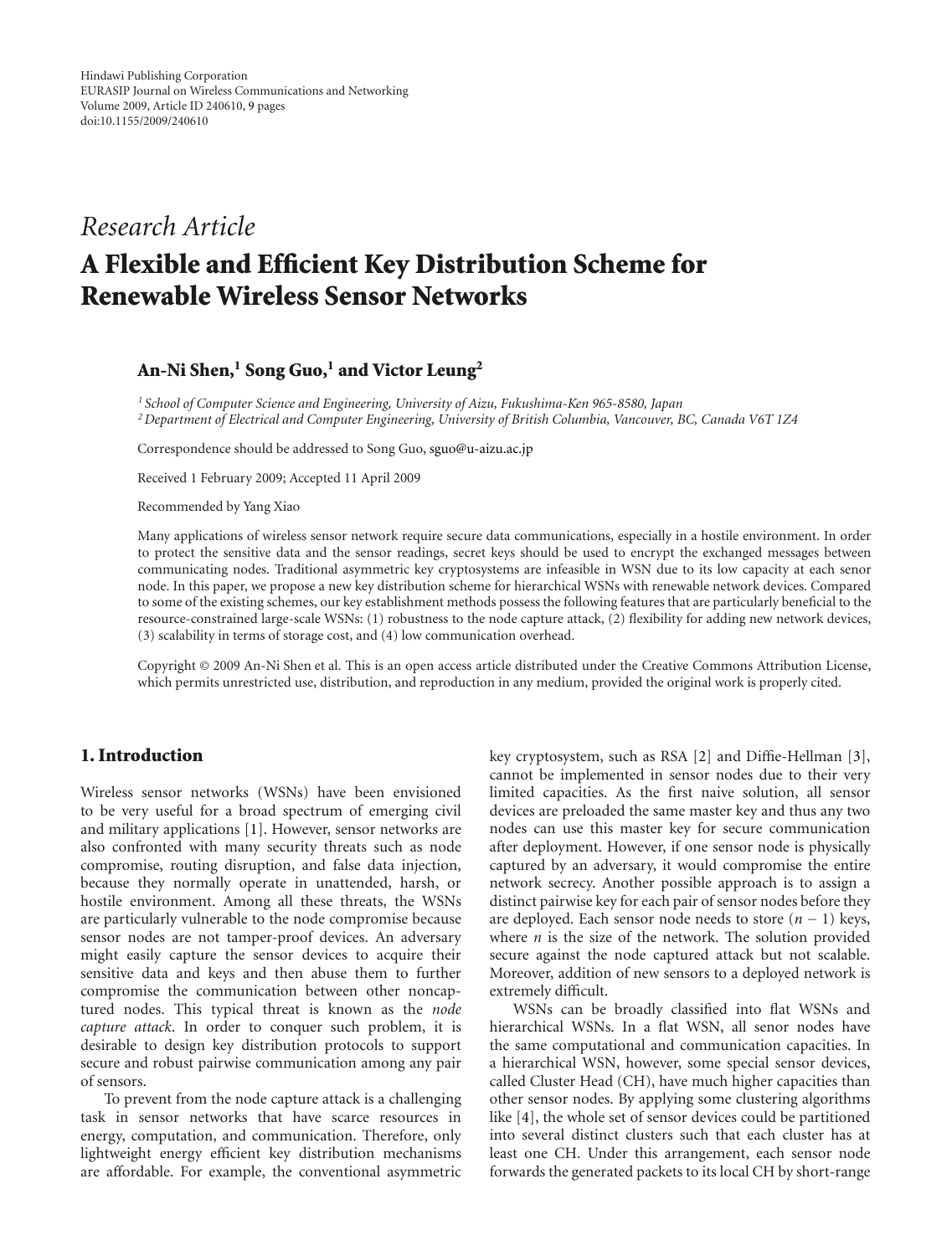## *Research Article*

# **A Flexible and Efficient Key Distribution Scheme for Renewable Wireless Sensor Networks**

## **An-Ni Shen,1 Song Guo,1 and Victor Leung2**

*<sup>1</sup> School of Computer Science and Engineering, University of Aizu, Fukushima-Ken 965-8580, Japan 2Department of Electrical and Computer Engineering, University of British Columbia, Vancouver, BC, Canada V6T 1Z4*

Correspondence should be addressed to Song Guo, sguo@u-aizu.ac.jp

Received 1 February 2009; Accepted 11 April 2009

Recommended by Yang Xiao

Many applications of wireless sensor network require secure data communications, especially in a hostile environment. In order to protect the sensitive data and the sensor readings, secret keys should be used to encrypt the exchanged messages between communicating nodes. Traditional asymmetric key cryptosystems are infeasible in WSN due to its low capacity at each senor node. In this paper, we propose a new key distribution scheme for hierarchical WSNs with renewable network devices. Compared to some of the existing schemes, our key establishment methods possess the following features that are particularly beneficial to the resource-constrained large-scale WSNs: (1) robustness to the node capture attack, (2) flexibility for adding new network devices, (3) scalability in terms of storage cost, and (4) low communication overhead.

Copyright © 2009 An-Ni Shen et al. This is an open access article distributed under the Creative Commons Attribution License, which permits unrestricted use, distribution, and reproduction in any medium, provided the original work is properly cited.

## **1. Introduction**

Wireless sensor networks (WSNs) have been envisioned to be very useful for a broad spectrum of emerging civil and military applications [1]. However, sensor networks are also confronted with many security threats such as node compromise, routing disruption, and false data injection, because they normally operate in unattended, harsh, or hostile environment. Among all these threats, the WSNs are particularly vulnerable to the node compromise because sensor nodes are not tamper-proof devices. An adversary might easily capture the sensor devices to acquire their sensitive data and keys and then abuse them to further compromise the communication between other noncaptured nodes. This typical threat is known as the *node capture attack*. In order to conquer such problem, it is desirable to design key distribution protocols to support secure and robust pairwise communication among any pair of sensors.

To prevent from the node capture attack is a challenging task in sensor networks that have scarce resources in energy, computation, and communication. Therefore, only lightweight energy efficient key distribution mechanisms are affordable. For example, the conventional asymmetric key cryptosystem, such as RSA [2] and Diffie-Hellman [3], cannot be implemented in sensor nodes due to their very limited capacities. As the first naive solution, all sensor devices are preloaded the same master key and thus any two nodes can use this master key for secure communication after deployment. However, if one sensor node is physically captured by an adversary, it would compromise the entire network secrecy. Another possible approach is to assign a distinct pairwise key for each pair of sensor nodes before they are deployed. Each sensor node needs to store  $(n - 1)$  keys, where *n* is the size of the network. The solution provided secure against the node captured attack but not scalable. Moreover, addition of new sensors to a deployed network is extremely difficult.

WSNs can be broadly classified into flat WSNs and hierarchical WSNs. In a flat WSN, all senor nodes have the same computational and communication capacities. In a hierarchical WSN, however, some special sensor devices, called Cluster Head (CH), have much higher capacities than other sensor nodes. By applying some clustering algorithms like [4], the whole set of sensor devices could be partitioned into several distinct clusters such that each cluster has at least one CH. Under this arrangement, each sensor node forwards the generated packets to its local CH by short-range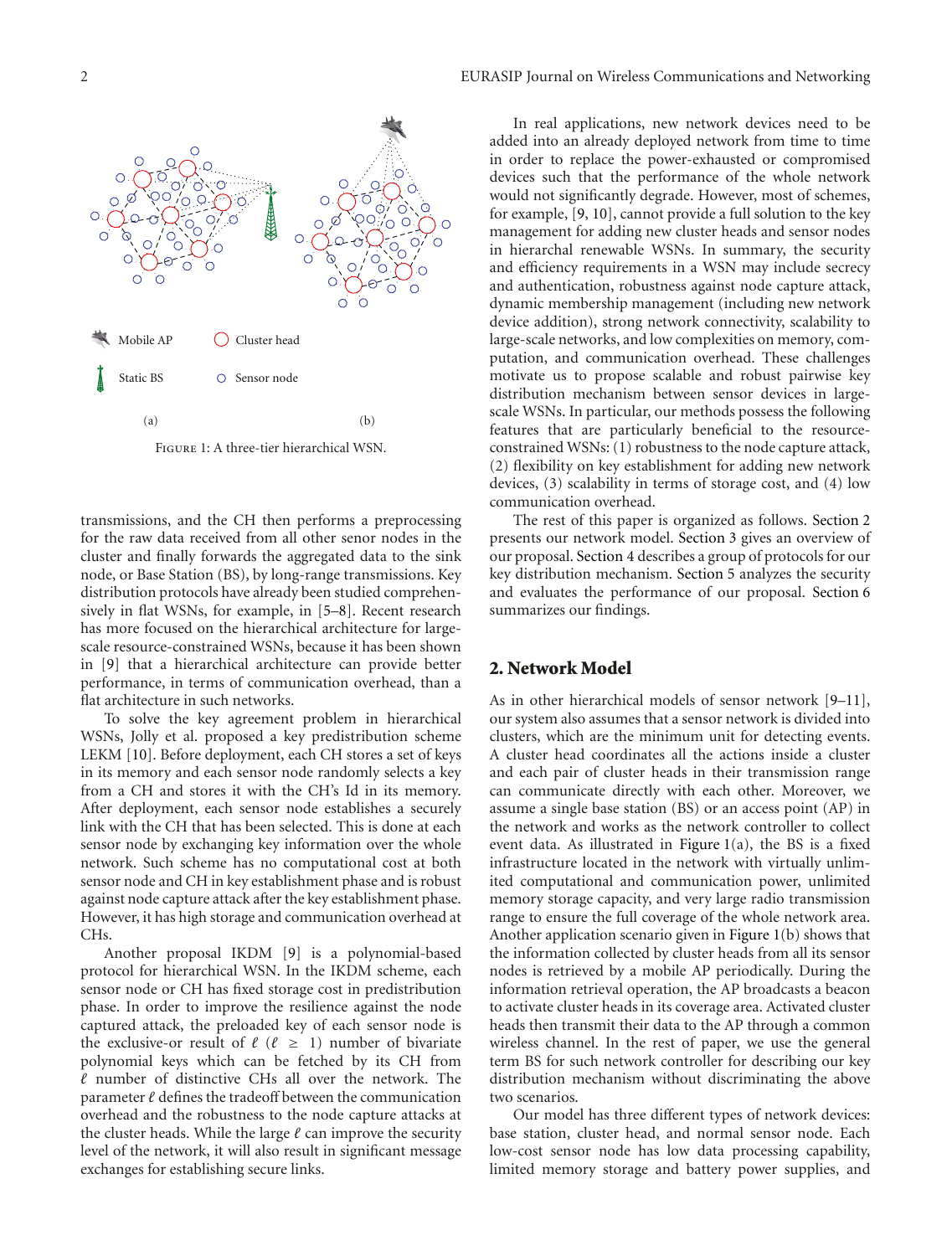

transmissions, and the CH then performs a preprocessing for the raw data received from all other senor nodes in the cluster and finally forwards the aggregated data to the sink node, or Base Station (BS), by long-range transmissions. Key distribution protocols have already been studied comprehensively in flat WSNs, for example, in [5–8]. Recent research has more focused on the hierarchical architecture for largescale resource-constrained WSNs, because it has been shown in [9] that a hierarchical architecture can provide better performance, in terms of communication overhead, than a flat architecture in such networks.

To solve the key agreement problem in hierarchical WSNs, Jolly et al. proposed a key predistribution scheme LEKM [10]. Before deployment, each CH stores a set of keys in its memory and each sensor node randomly selects a key from a CH and stores it with the CH's Id in its memory. After deployment, each sensor node establishes a securely link with the CH that has been selected. This is done at each sensor node by exchanging key information over the whole network. Such scheme has no computational cost at both sensor node and CH in key establishment phase and is robust against node capture attack after the key establishment phase. However, it has high storage and communication overhead at CHs.

Another proposal IKDM [9] is a polynomial-based protocol for hierarchical WSN. In the IKDM scheme, each sensor node or CH has fixed storage cost in predistribution phase. In order to improve the resilience against the node captured attack, the preloaded key of each sensor node is the exclusive-or result of  $\ell$  ( $\ell \geq 1$ ) number of bivariate polynomial keys which can be fetched by its CH from *-* number of distinctive CHs all over the network. The parameter  $\ell$  defines the tradeoff between the communication overhead and the robustness to the node capture attacks at the cluster heads. While the large  $\ell$  can improve the security level of the network, it will also result in significant message exchanges for establishing secure links.

In real applications, new network devices need to be added into an already deployed network from time to time in order to replace the power-exhausted or compromised devices such that the performance of the whole network would not significantly degrade. However, most of schemes, for example, [9, 10], cannot provide a full solution to the key management for adding new cluster heads and sensor nodes in hierarchal renewable WSNs. In summary, the security and efficiency requirements in a WSN may include secrecy and authentication, robustness against node capture attack, dynamic membership management (including new network device addition), strong network connectivity, scalability to large-scale networks, and low complexities on memory, computation, and communication overhead. These challenges motivate us to propose scalable and robust pairwise key distribution mechanism between sensor devices in largescale WSNs. In particular, our methods possess the following features that are particularly beneficial to the resourceconstrained WSNs: (1) robustness to the node capture attack, (2) flexibility on key establishment for adding new network devices, (3) scalability in terms of storage cost, and (4) low communication overhead.

The rest of this paper is organized as follows. Section 2 presents our network model. Section 3 gives an overview of our proposal. Section 4 describes a group of protocols for our key distribution mechanism. Section 5 analyzes the security and evaluates the performance of our proposal. Section 6 summarizes our findings.

## **2. Network Model**

As in other hierarchical models of sensor network [9–11], our system also assumes that a sensor network is divided into clusters, which are the minimum unit for detecting events. A cluster head coordinates all the actions inside a cluster and each pair of cluster heads in their transmission range can communicate directly with each other. Moreover, we assume a single base station (BS) or an access point (AP) in the network and works as the network controller to collect event data. As illustrated in Figure 1(a), the BS is a fixed infrastructure located in the network with virtually unlimited computational and communication power, unlimited memory storage capacity, and very large radio transmission range to ensure the full coverage of the whole network area. Another application scenario given in Figure 1(b) shows that the information collected by cluster heads from all its sensor nodes is retrieved by a mobile AP periodically. During the information retrieval operation, the AP broadcasts a beacon to activate cluster heads in its coverage area. Activated cluster heads then transmit their data to the AP through a common wireless channel. In the rest of paper, we use the general term BS for such network controller for describing our key distribution mechanism without discriminating the above two scenarios.

Our model has three different types of network devices: base station, cluster head, and normal sensor node. Each low-cost sensor node has low data processing capability, limited memory storage and battery power supplies, and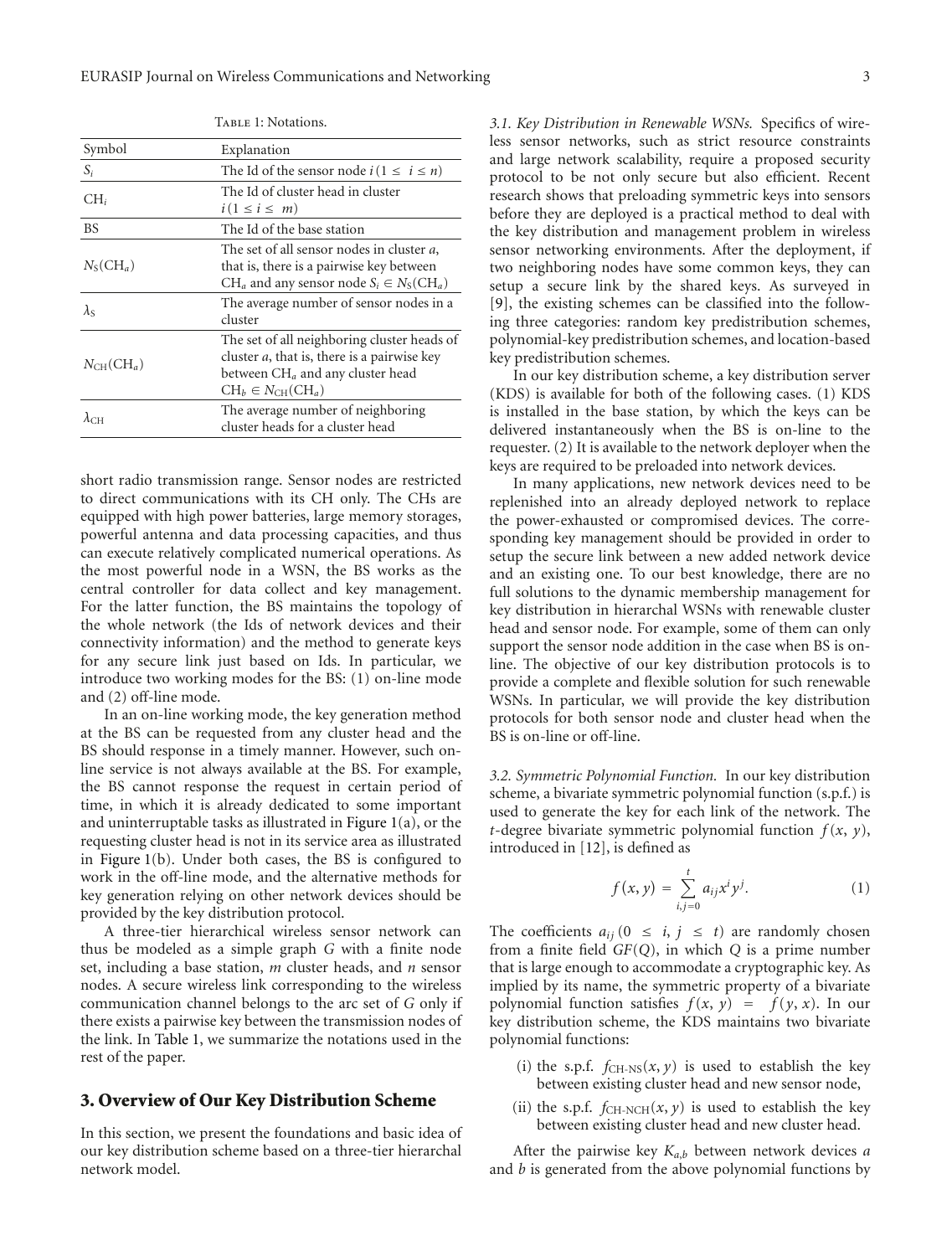| Symbol                  | Explanation                                                                                                                                                          |  |
|-------------------------|----------------------------------------------------------------------------------------------------------------------------------------------------------------------|--|
| $S_i$                   | The Id of the sensor node $i(1 \le i \le n)$                                                                                                                         |  |
| CH,                     | The Id of cluster head in cluster<br>$i(1 \leq i \leq m)$                                                                                                            |  |
| <b>BS</b>               | The Id of the base station                                                                                                                                           |  |
| $N_{\rm S}({\rm CH}_a)$ | The set of all sensor nodes in cluster a,<br>that is, there is a pairwise key between<br>$CH_a$ and any sensor node $S_i \in N_S(CH_a)$                              |  |
| $\lambda_{\rm S}$       | The average number of sensor nodes in a<br>cluster                                                                                                                   |  |
| $N_{CH}(CH_a)$          | The set of all neighboring cluster heads of<br>cluster <i>a</i> , that is, there is a pairwise key<br>between $CH_a$ and any cluster head<br>$CH_b \in N_{CH}(CH_a)$ |  |
| $\Lambda_{\rm CH}$      | The average number of neighboring<br>cluster heads for a cluster head                                                                                                |  |
|                         |                                                                                                                                                                      |  |

TABLE 1: Notations.

short radio transmission range. Sensor nodes are restricted to direct communications with its CH only. The CHs are equipped with high power batteries, large memory storages, powerful antenna and data processing capacities, and thus can execute relatively complicated numerical operations. As the most powerful node in a WSN, the BS works as the central controller for data collect and key management. For the latter function, the BS maintains the topology of the whole network (the Ids of network devices and their connectivity information) and the method to generate keys for any secure link just based on Ids. In particular, we introduce two working modes for the BS: (1) on-line mode and (2) off-line mode.

In an on-line working mode, the key generation method at the BS can be requested from any cluster head and the BS should response in a timely manner. However, such online service is not always available at the BS. For example, the BS cannot response the request in certain period of time, in which it is already dedicated to some important and uninterruptable tasks as illustrated in Figure 1(a), or the requesting cluster head is not in its service area as illustrated in Figure 1(b). Under both cases, the BS is configured to work in the off-line mode, and the alternative methods for key generation relying on other network devices should be provided by the key distribution protocol.

A three-tier hierarchical wireless sensor network can thus be modeled as a simple graph *G* with a finite node set, including a base station, *m* cluster heads, and *n* sensor nodes. A secure wireless link corresponding to the wireless communication channel belongs to the arc set of *G* only if there exists a pairwise key between the transmission nodes of the link. In Table 1, we summarize the notations used in the rest of the paper.

## **3. Overview of Our Key Distribution Scheme**

In this section, we present the foundations and basic idea of our key distribution scheme based on a three-tier hierarchal network model.

*3.1. Key Distribution in Renewable WSNs.* Specifics of wireless sensor networks, such as strict resource constraints and large network scalability, require a proposed security protocol to be not only secure but also efficient. Recent research shows that preloading symmetric keys into sensors before they are deployed is a practical method to deal with the key distribution and management problem in wireless sensor networking environments. After the deployment, if two neighboring nodes have some common keys, they can setup a secure link by the shared keys. As surveyed in [9], the existing schemes can be classified into the following three categories: random key predistribution schemes, polynomial-key predistribution schemes, and location-based key predistribution schemes.

In our key distribution scheme, a key distribution server (KDS) is available for both of the following cases. (1) KDS is installed in the base station, by which the keys can be delivered instantaneously when the BS is on-line to the requester. (2) It is available to the network deployer when the keys are required to be preloaded into network devices.

In many applications, new network devices need to be replenished into an already deployed network to replace the power-exhausted or compromised devices. The corresponding key management should be provided in order to setup the secure link between a new added network device and an existing one. To our best knowledge, there are no full solutions to the dynamic membership management for key distribution in hierarchal WSNs with renewable cluster head and sensor node. For example, some of them can only support the sensor node addition in the case when BS is online. The objective of our key distribution protocols is to provide a complete and flexible solution for such renewable WSNs. In particular, we will provide the key distribution protocols for both sensor node and cluster head when the BS is on-line or off-line.

*3.2. Symmetric Polynomial Function.* In our key distribution scheme, a bivariate symmetric polynomial function (s.p.f.) is used to generate the key for each link of the network. The *t*-degree bivariate symmetric polynomial function  $f(x, y)$ , introduced in [12], is defined as

$$
f(x, y) = \sum_{i, j=0}^{t} a_{ij} x^{i} y^{j}.
$$
 (1)

The coefficients  $a_{ij}$  ( $0 \le i, j \le t$ ) are randomly chosen from a finite field *GF*(*Q*), in which *Q* is a prime number that is large enough to accommodate a cryptographic key. As implied by its name, the symmetric property of a bivariate polynomial function satisfies  $f(x, y) = f(y, x)$ . In our key distribution scheme, the KDS maintains two bivariate polynomial functions:

- (i) the s.p.f.  $f_{\text{CH-NS}}(x, y)$  is used to establish the key between existing cluster head and new sensor node,
- (ii) the s.p.f.  $f_{\text{CH-NCH}}(x, y)$  is used to establish the key between existing cluster head and new cluster head.

After the pairwise key *Ka*,*<sup>b</sup>* between network devices *a* and *b* is generated from the above polynomial functions by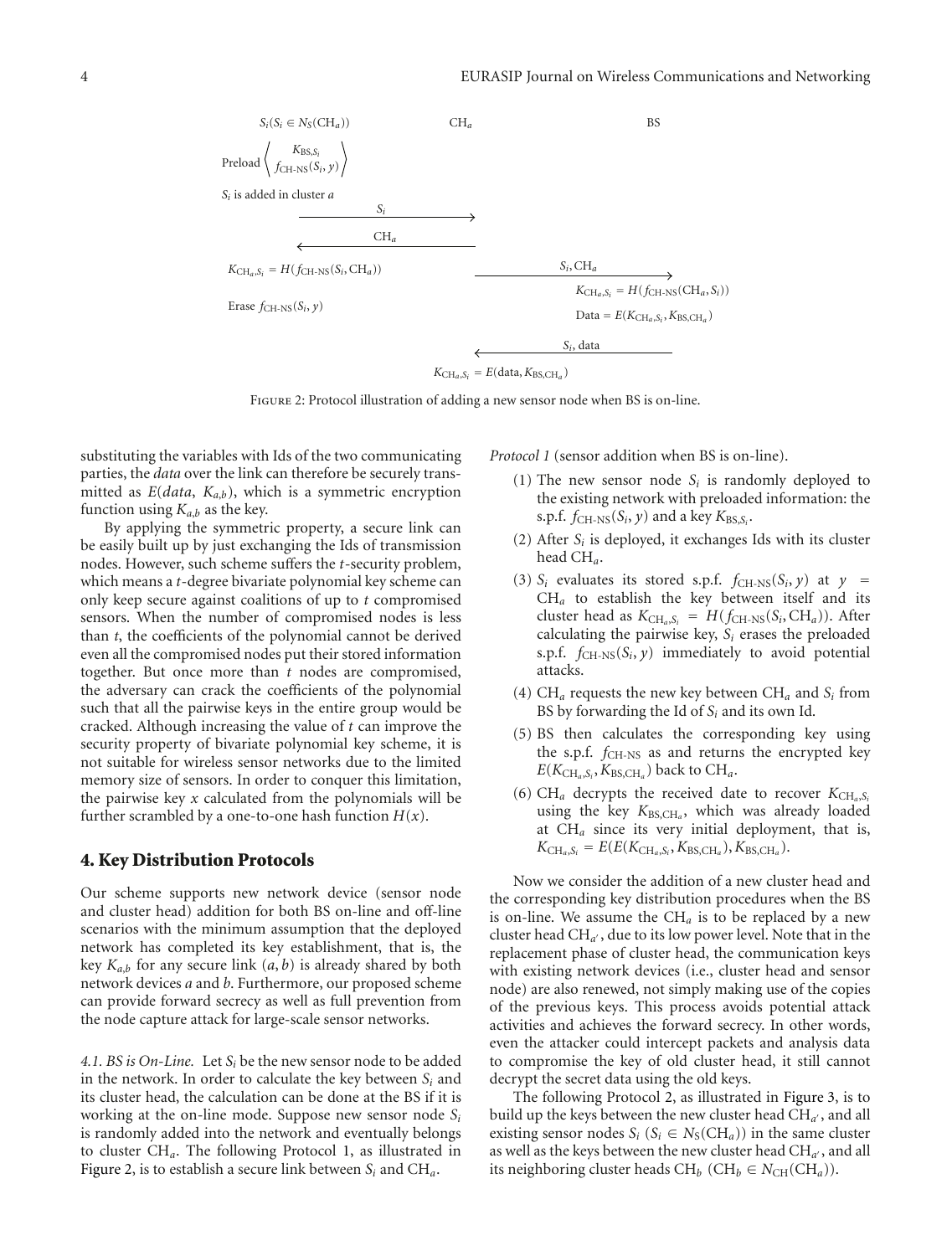

Figure 2: Protocol illustration of adding a new sensor node when BS is on-line.

substituting the variables with Ids of the two communicating parties, the *data* over the link can therefore be securely transmitted as *E*(*data*, *Ka*,*b*), which is a symmetric encryption function using  $K_{a,b}$  as the key.

By applying the symmetric property, a secure link can be easily built up by just exchanging the Ids of transmission nodes. However, such scheme suffers the *t*-security problem, which means a *t*-degree bivariate polynomial key scheme can only keep secure against coalitions of up to *t* compromised sensors. When the number of compromised nodes is less than *t*, the coefficients of the polynomial cannot be derived even all the compromised nodes put their stored information together. But once more than *t* nodes are compromised, the adversary can crack the coefficients of the polynomial such that all the pairwise keys in the entire group would be cracked. Although increasing the value of *t* can improve the security property of bivariate polynomial key scheme, it is not suitable for wireless sensor networks due to the limited memory size of sensors. In order to conquer this limitation, the pairwise key *x* calculated from the polynomials will be further scrambled by a one-to-one hash function *H*(*x*).

#### **4. Key Distribution Protocols**

Our scheme supports new network device (sensor node and cluster head) addition for both BS on-line and off-line scenarios with the minimum assumption that the deployed network has completed its key establishment, that is, the key  $K_{a,b}$  for any secure link  $(a, b)$  is already shared by both network devices *a* and *b*. Furthermore, our proposed scheme can provide forward secrecy as well as full prevention from the node capture attack for large-scale sensor networks.

*4.1. BS is On-Line.* Let *Si* be the new sensor node to be added in the network. In order to calculate the key between *S<sup>i</sup>* and its cluster head, the calculation can be done at the BS if it is working at the on-line mode. Suppose new sensor node *S<sup>i</sup>* is randomly added into the network and eventually belongs to cluster CH*a*. The following Protocol 1, as illustrated in Figure 2, is to establish a secure link between *Si* and CH*a*.

*Protocol 1* (sensor addition when BS is on-line).

- (1) The new sensor node  $S_i$  is randomly deployed to the existing network with preloaded information: the s.p.f.  $f_{\text{CH-NS}}(S_i, y)$  and a key  $K_{\text{BS},S_i}$ .
- (2) After  $S_i$  is deployed, it exchanges Ids with its cluster head CH*a*.
- (3)  $S_i$  evaluates its stored s.p.f.  $f_{\text{CH-NS}}(S_i, y)$  at  $y =$  $CH<sub>a</sub>$  to establish the key between itself and its cluster head as  $K_{\text{CH}_a,S_i} = H(f_{\text{CH-NS}}(S_i, \text{CH}_a))$ . After calculating the pairwise key,  $S_i$  erases the preloaded s.p.f.  $f_{\text{CH-NS}}(S_i, y)$  immediately to avoid potential attacks.
- (4)  $CH_a$  requests the new key between  $CH_a$  and  $S_i$  from BS by forwarding the Id of *S<sup>i</sup>* and its own Id.
- (5) BS then calculates the corresponding key using the s.p.f.  $f_{\text{CH-NS}}$  as and returns the encrypted key  $E(K<sub>CHa</sub>,S<sub>i</sub>, K<sub>BS,CHa</sub>)$  back to  $CH_a$ .
- (6) CH<sub>a</sub> decrypts the received date to recover  $K_{\text{CH}_a,S_i}$ using the key  $K_{BS,CH_a}$ , which was already loaded at CH*<sup>a</sup>* since its very initial deployment, that is,  $K_{\text{CH}_a,S_i} = E(E(K_{\text{CH}_a,S_i}, K_{\text{BS,CH}_a}), K_{\text{BS,CH}_a}).$

Now we consider the addition of a new cluster head and the corresponding key distribution procedures when the BS is on-line. We assume the  $CH_a$  is to be replaced by a new cluster head CH*<sup>a</sup>* , due to its low power level. Note that in the replacement phase of cluster head, the communication keys with existing network devices (i.e., cluster head and sensor node) are also renewed, not simply making use of the copies of the previous keys. This process avoids potential attack activities and achieves the forward secrecy. In other words, even the attacker could intercept packets and analysis data to compromise the key of old cluster head, it still cannot decrypt the secret data using the old keys.

The following Protocol 2, as illustrated in Figure 3, is to build up the keys between the new cluster head CH*<sup>a</sup>* , and all existing sensor nodes  $S_i$  ( $S_i \in N_S(CH_a)$ ) in the same cluster as well as the keys between the new cluster head CH*<sup>a</sup>* , and all its neighboring cluster heads  $CH_b$  ( $CH_b \in N_{CH}(CH_a)$ ).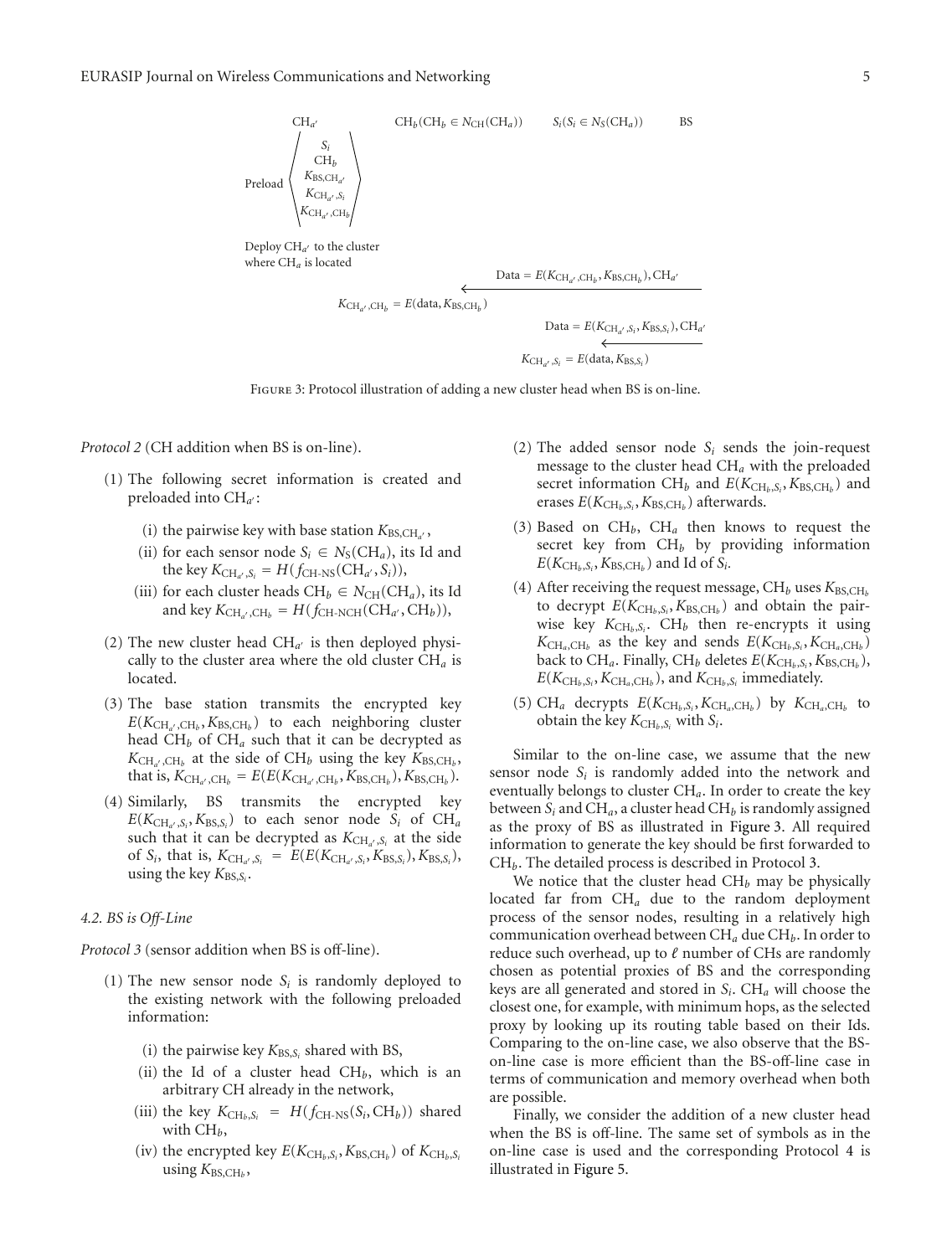

Figure 3: Protocol illustration of adding a new cluster head when BS is on-line.

*Protocol 2* (CH addition when BS is on-line).

- (1) The following secret information is created and preloaded into CH<sub>a'</sub>:
	- (i) the pairwise key with base station  $K_{BS,CHa}$ ,
	- (ii) for each sensor node  $S_i \in N_S(\text{CH}_a)$ , its Id and the key  $K_{\text{CH}_{a'},S_i} = H(f_{\text{CH-NS}}(\text{CH}_{a'}, S_i)),$
	- (iii) for each cluster heads  $CH_b \in N_{CH}(CH_a)$ , its Id and key  $K_{\text{CH}_{a'},\text{CH}_{b}} = H(f_{\text{CH-NCH}}(\text{CH}_{a'},\text{CH}_{b})),$
- (2) The new cluster head  $CH_{a'}$  is then deployed physically to the cluster area where the old cluster CH*<sup>a</sup>* is located.
- (3) The base station transmits the encrypted key  $E(K<sub>CHa'</sub>, CH<sub>b</sub>, K<sub>BS,CHb</sub>)$  to each neighboring cluster head CH*<sup>b</sup>* of CH*<sup>a</sup>* such that it can be decrypted as  $K_{\text{CH}_{a'},\text{CH}_{b}}$  at the side of  $\text{CH}_{b}$  using the key  $K_{\text{BS},\text{CH}_{b}}$ , that is,  $K_{\text{CH}_{a'},\text{CH}_{b}} = E(E(K_{\text{CH}_{a'},\text{CH}_{b}}, K_{\text{BS},\text{CH}_{b}}), K_{\text{BS},\text{CH}_{b}}).$
- (4) Similarly, BS transmits the encrypted key  $E(K<sub>CHa'</sub>, S<sub>i</sub>, K<sub>BS,S<sub>i</sub></sub>)$  to each senor node  $S<sub>i</sub>$  of  $CH<sub>a</sub>$ such that it can be decrypted as  $K_{\text{CH}_a, S_i}$  at the side of *S<sub>i</sub>*, that is,  $K_{\text{CH}_{a'},S_i} = E(E(K_{\text{CH}_{a'},S_i}, K_{BS,S_i}), K_{BS,S_i}),$ using the key  $K_{BS,S_i}$ .

### *4.2. BS is Off-Line*

*Protocol 3* (sensor addition when BS is off-line).

- (1) The new sensor node  $S_i$  is randomly deployed to the existing network with the following preloaded information:
	- (i) the pairwise key  $K_{BS,S_i}$  shared with BS,
	- (ii) the Id of a cluster head CH*b*, which is an arbitrary CH already in the network,
	- (iii) the key  $K_{\text{CH}_b,S_i} = H(f_{\text{CH-NS}}(S_i, \text{CH}_b))$  shared with CH*b*,
	- (iv) the encrypted key  $E(K<sub>CHb</sub>,S<sub>i</sub>, K<sub>BS,CHb</sub>)$  of  $K<sub>CHb</sub>,S<sub>i</sub>$ using  $K_{BS,CH_b}$ ,
- (2) The added sensor node  $S_i$  sends the join-request message to the cluster head CH*<sup>a</sup>* with the preloaded secret information CH<sub>b</sub> and  $E(K<sub>CH<sub>b</sub>,S<sub>i</sub></sub>$ ,  $K<sub>BS,CH<sub>b</sub></sub>)$  and erases  $E(K<sub>CH<sub>b</sub>,S<sub>i</sub>, K<sub>BS,CH<sub>b</sub></sub>)</sub>$  afterwards.
- (3) Based on  $CH_b$ ,  $CH_a$  then knows to request the secret key from CH<sub>b</sub> by providing information  $E(K<sub>CH</sub><sub>b</sub>,S<sub>i</sub>, K<sub>BS,CH</sub><sub>b</sub>)$  and Id of *S<sub>i</sub>*.
- (4) After receiving the request message,  $CH_b$  uses  $K_{BS,CH_b}$ to decrypt  $E(K<sub>CH<sub>b</sub>,S<sub>i</sub>, K<sub>BS,CH<sub>b</sub></sub>)</sub>$  and obtain the pairwise key  $K_{\text{CH}_b,S_i}$ . CH<sub>b</sub> then re-encrypts it using  $K_{\text{CH}_a,\text{CH}_b}$  as the key and sends  $E(K_{\text{CH}_b,S_i}, K_{\text{CH}_a,\text{CH}_b})$ back to CH<sub>a</sub>. Finally, CH<sub>b</sub> deletes  $E(K<sub>CHb</sub>, S<sub>i</sub>, K<sub>BS,CHb</sub>)$ ,  $E(K<sub>CH</sub><sub>b</sub>, S<sub>i</sub>, K<sub>CH</sub><sub>a</sub>, CH<sub>b</sub>)$ , and  $K<sub>CH</sub><sub>b</sub>, S<sub>i</sub>$  immediately.
- (5) CH<sub>a</sub> decrypts  $E(K_{\text{CH}_b,S_i}, K_{\text{CH}_a,CH_b})$  by  $K_{\text{CH}_a,CH_b}$  to obtain the key  $K_{\text{CH}_h,S_i}$  with  $S_i$ .

Similar to the on-line case, we assume that the new sensor node *S<sup>i</sup>* is randomly added into the network and eventually belongs to cluster CH*a*. In order to create the key between  $S_i$  and  $CH_a$ , a cluster head  $CH_b$  is randomly assigned as the proxy of BS as illustrated in Figure 3. All required information to generate the key should be first forwarded to CH*b*. The detailed process is described in Protocol 3.

We notice that the cluster head  $CH_b$  may be physically located far from CH*<sup>a</sup>* due to the random deployment process of the sensor nodes, resulting in a relatively high communication overhead between CH*<sup>a</sup>* due CH*b*. In order to reduce such overhead, up to  $\ell$  number of CHs are randomly chosen as potential proxies of BS and the corresponding keys are all generated and stored in *Si*. CH*<sup>a</sup>* will choose the closest one, for example, with minimum hops, as the selected proxy by looking up its routing table based on their Ids. Comparing to the on-line case, we also observe that the BSon-line case is more efficient than the BS-off-line case in terms of communication and memory overhead when both are possible.

Finally, we consider the addition of a new cluster head when the BS is off-line. The same set of symbols as in the on-line case is used and the corresponding Protocol 4 is illustrated in Figure 5.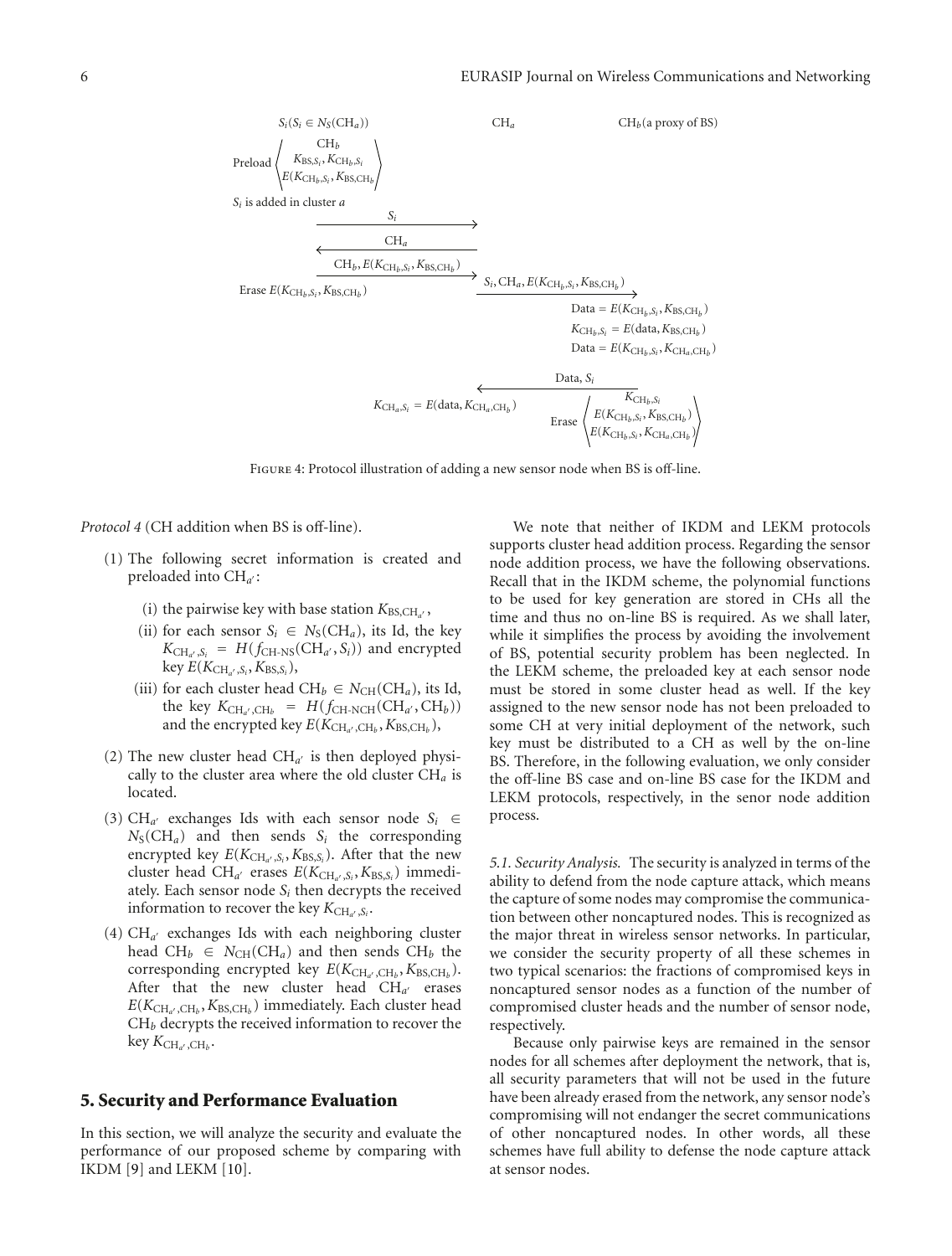

Figure 4: Protocol illustration of adding a new sensor node when BS is off-line.

*Protocol 4* (CH addition when BS is off-line).

- (1) The following secret information is created and preloaded into CH*<sup>a</sup>* :
	- (i) the pairwise key with base station  $K_{BS,CH_{a'}}$ ,
	- (ii) for each sensor  $S_i \in N_S(\text{CH}_a)$ , its Id, the key  $K_{\text{CH}_{a'},S_i} = H(f_{\text{CH-NS}}(\text{CH}_{a'}, S_i))$  and encrypted  $key E(K<sub>CHa'</sub>, S<sub>i</sub>, K<sub>BS,S<sub>i</sub></sub>),$
	- (iii) for each cluster head  $CH_b \in N_{CH}(CH_a)$ , its Id, the key  $K_{\text{CH}_{a'},\text{CH}_{b}} = H(f_{\text{CH-NCH}}(\text{CH}_{a'},\text{CH}_{b}))$ and the encrypted key  $E(K<sub>CHa'</sub>, CH<sub>b</sub>, K<sub>BS,CHb</sub>)$ ,
- (2) The new cluster head  $CH_{a'}$  is then deployed physically to the cluster area where the old cluster CH*<sup>a</sup>* is located.
- (3) CH<sub>a</sub> exchanges Ids with each sensor node  $S_i \in$  $N_S(CH_a)$  and then sends  $S_i$  the corresponding encrypted key  $E(K<sub>CH</sub><sub>a</sub>,<sub>S<sub>i</sub></sub>, K<sub>BS,S<sub>i</sub></sub>)$ . After that the new cluster head CH<sub>a</sub> erases  $E(K<sub>CHa</sub>, S<sub>i</sub>, K<sub>BS,S<sub>i</sub></sub>)$  immediately. Each sensor node  $S_i$  then decrypts the received information to recover the key  $K_{\text{CH}_a, S_i}$ .
- (4)  $CH_{a'}$  exchanges Ids with each neighboring cluster head  $CH_b \in N_{CH}(CH_a)$  and then sends  $CH_b$  the corresponding encrypted key  $E(K<sub>CH</sub>,<sub>CHb</sub>, K<sub>BS,CHb</sub>)$ . After that the new cluster head  $CH_{a'}$  erases  $E(K<sub>CHa'</sub>, CH<sub>b</sub>, K<sub>BS,CHb</sub>)$  immediately. Each cluster head CH*<sup>b</sup>* decrypts the received information to recover the  $key K<sub>CHa</sub>$ ,  $CH<sub>b</sub>$ .

#### **5. Security and Performance Evaluation**

In this section, we will analyze the security and evaluate the performance of our proposed scheme by comparing with IKDM [9] and LEKM [10].

We note that neither of IKDM and LEKM protocols supports cluster head addition process. Regarding the sensor node addition process, we have the following observations. Recall that in the IKDM scheme, the polynomial functions to be used for key generation are stored in CHs all the time and thus no on-line BS is required. As we shall later, while it simplifies the process by avoiding the involvement of BS, potential security problem has been neglected. In the LEKM scheme, the preloaded key at each sensor node must be stored in some cluster head as well. If the key assigned to the new sensor node has not been preloaded to some CH at very initial deployment of the network, such key must be distributed to a CH as well by the on-line BS. Therefore, in the following evaluation, we only consider the off-line BS case and on-line BS case for the IKDM and LEKM protocols, respectively, in the senor node addition process.

*5.1. Security Analysis.* The security is analyzed in terms of the ability to defend from the node capture attack, which means the capture of some nodes may compromise the communication between other noncaptured nodes. This is recognized as the major threat in wireless sensor networks. In particular, we consider the security property of all these schemes in two typical scenarios: the fractions of compromised keys in noncaptured sensor nodes as a function of the number of compromised cluster heads and the number of sensor node, respectively.

Because only pairwise keys are remained in the sensor nodes for all schemes after deployment the network, that is, all security parameters that will not be used in the future have been already erased from the network, any sensor node's compromising will not endanger the secret communications of other noncaptured nodes. In other words, all these schemes have full ability to defense the node capture attack at sensor nodes.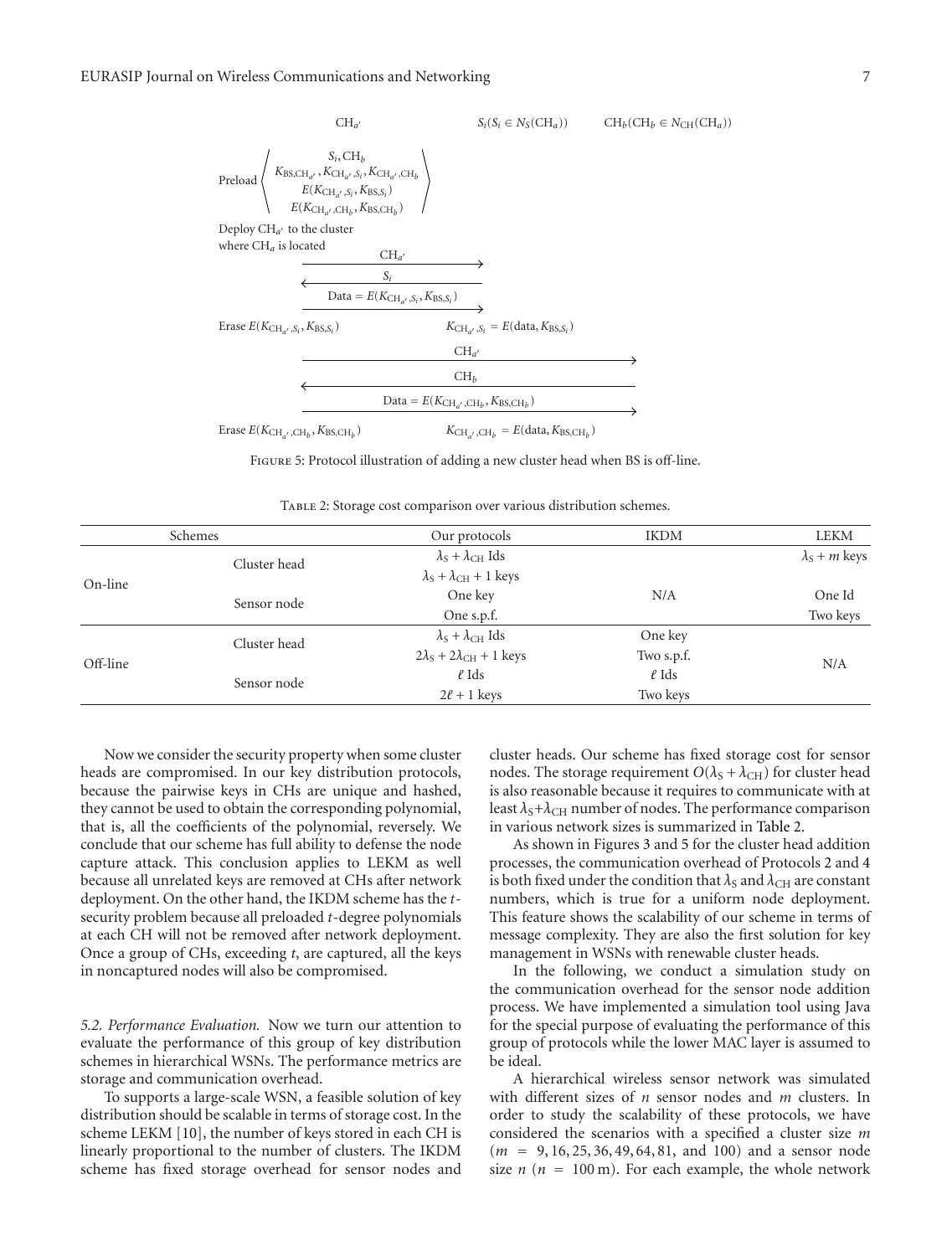| $CH_{a'}$                                                                                                                                                                                                                                                                                                                                                         |                                                                                  | $S_i(S_i \in N_S(CH_a))$ $CH_b(CH_b \in N_{CH}(CH_a))$ |
|-------------------------------------------------------------------------------------------------------------------------------------------------------------------------------------------------------------------------------------------------------------------------------------------------------------------------------------------------------------------|----------------------------------------------------------------------------------|--------------------------------------------------------|
| $\left\langle \begin{array}{c} S_i,\text{CH}_b \\ \text{Preload} \left\langle \begin{array}{c} S_i,\text{CH}_b \\ K_{\text{BS,CH}_{a'},K_{\text{CH}_{a'},S_i},K_{\text{CH}_{a'},\text{CH}_b} \\ E(K_{\text{CH}_{a'},S_i,K_{\text{BS},S_i}) \\ E(K_{\text{CH}_{a'},\text{CH}_b},K_{\text{BS},\text{CH}_b}) \\ \end{array} \right\rangle \end{array} \right\rangle$ |                                                                                  |                                                        |
| Deploy $CH_{a'}$ to the cluster                                                                                                                                                                                                                                                                                                                                   |                                                                                  |                                                        |
| where $CH_a$ is located<br>$CH_{a'}$                                                                                                                                                                                                                                                                                                                              |                                                                                  |                                                        |
| $S_i$                                                                                                                                                                                                                                                                                                                                                             |                                                                                  |                                                        |
| Data = $E(K_{\mathbb{C}\mathrm{H}_{a'},S_i},K_{\mathbb{B}\mathrm{S},S_i})$                                                                                                                                                                                                                                                                                        |                                                                                  |                                                        |
| Erase $E(KCH, S_i, KBS,S_i)$                                                                                                                                                                                                                                                                                                                                      | $K_{\text{CH}_{a'},S_i} = E(\text{data}, K_{\text{BS},S_i})$                     |                                                        |
|                                                                                                                                                                                                                                                                                                                                                                   | $CH_{a'}$                                                                        |                                                        |
|                                                                                                                                                                                                                                                                                                                                                                   | CH <sub>h</sub>                                                                  |                                                        |
|                                                                                                                                                                                                                                                                                                                                                                   | Data = $E(KCH,CHb, KBS,CHb)$                                                     |                                                        |
| Erase $E(KCHa', CHb, KBS,CHb)$                                                                                                                                                                                                                                                                                                                                    | $K_{\text{CH}_{a'},\text{CH}_{h}} = E(\text{data}, K_{\text{BS},\text{CH}_{h}})$ |                                                        |

Figure 5: Protocol illustration of adding a new cluster head when BS is off-line.

Table 2: Storage cost comparison over various distribution schemes.

|          | Schemes      | Our protocols                                     | <b>IKDM</b> | <b>LEKM</b>                       |
|----------|--------------|---------------------------------------------------|-------------|-----------------------------------|
| On-line  | Cluster head | $\lambda_{\rm S} + \lambda_{\rm CH}$ Ids          |             | $\lambda_{\rm S}$ + <i>m</i> keys |
|          |              | $\lambda_{\rm S} + \lambda_{\rm CH} + 1$ keys     |             |                                   |
|          | Sensor node  | One key                                           | N/A         | One Id                            |
|          |              | One s.p.f.                                        |             | Two keys                          |
| Off-line | Cluster head | $\lambda_{\rm S} + \lambda_{\rm CH}$ Ids          | One key     |                                   |
|          |              | $2\lambda_{\rm S}$ + $2\lambda_{\rm CH}$ + 1 keys | Two s.p.f.  | N/A                               |
|          | Sensor node  | $\ell$ Ids                                        | $\ell$ Ids  |                                   |
|          |              | $2\ell + 1$ keys                                  | Two keys    |                                   |

Now we consider the security property when some cluster heads are compromised. In our key distribution protocols, because the pairwise keys in CHs are unique and hashed, they cannot be used to obtain the corresponding polynomial, that is, all the coefficients of the polynomial, reversely. We conclude that our scheme has full ability to defense the node capture attack. This conclusion applies to LEKM as well because all unrelated keys are removed at CHs after network deployment. On the other hand, the IKDM scheme has the *t*security problem because all preloaded *t*-degree polynomials at each CH will not be removed after network deployment. Once a group of CHs, exceeding *t*, are captured, all the keys in noncaptured nodes will also be compromised.

*5.2. Performance Evaluation.* Now we turn our attention to evaluate the performance of this group of key distribution schemes in hierarchical WSNs. The performance metrics are storage and communication overhead.

To supports a large-scale WSN, a feasible solution of key distribution should be scalable in terms of storage cost. In the scheme LEKM [10], the number of keys stored in each CH is linearly proportional to the number of clusters. The IKDM scheme has fixed storage overhead for sensor nodes and cluster heads. Our scheme has fixed storage cost for sensor nodes. The storage requirement  $O(\lambda_s + \lambda_{CH})$  for cluster head is also reasonable because it requires to communicate with at least  $\lambda_{\rm S}+\lambda_{\rm CH}$  number of nodes. The performance comparison in various network sizes is summarized in Table 2.

As shown in Figures 3 and 5 for the cluster head addition processes, the communication overhead of Protocols 2 and 4 is both fixed under the condition that  $\lambda_S$  and  $\lambda_{\text{CH}}$  are constant numbers, which is true for a uniform node deployment. This feature shows the scalability of our scheme in terms of message complexity. They are also the first solution for key management in WSNs with renewable cluster heads.

In the following, we conduct a simulation study on the communication overhead for the sensor node addition process. We have implemented a simulation tool using Java for the special purpose of evaluating the performance of this group of protocols while the lower MAC layer is assumed to be ideal.

A hierarchical wireless sensor network was simulated with different sizes of *n* sensor nodes and *m* clusters. In order to study the scalability of these protocols, we have considered the scenarios with a specified a cluster size *m* (*m* = 9, 16, 25, 36, 49, 64, 81, and 100) and a sensor node size  $n (n = 100 \text{ m})$ . For each example, the whole network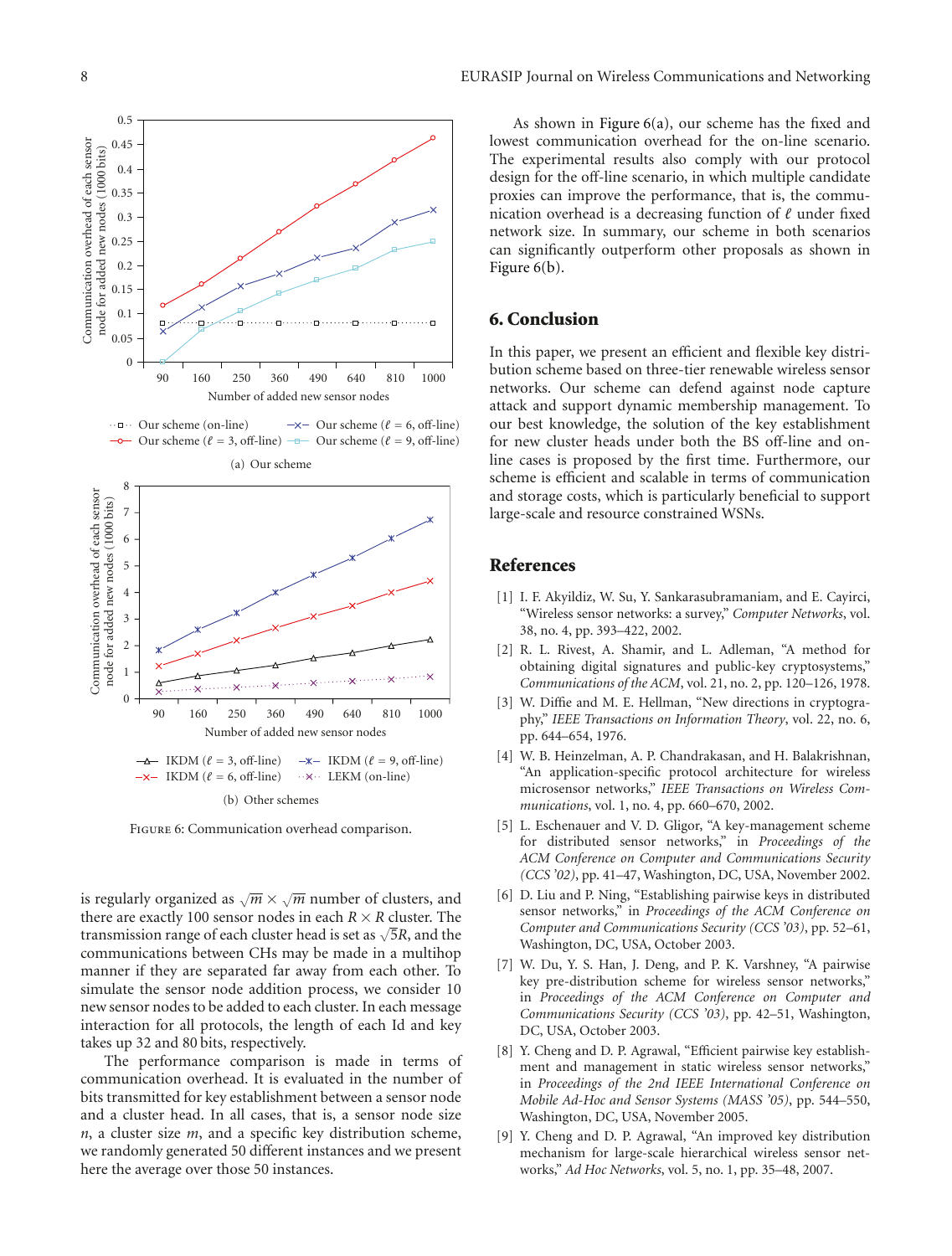



Figure 6: Communication overhead comparison.

is regularly organized as  $\sqrt{m} \times \sqrt{m}$  number of clusters, and there are exactly 100 sensor nodes in each  $R \times R$  cluster. The transmission range of each cluster head is set as <sup>√</sup> 5*R*, and the communications between CHs may be made in a multihop manner if they are separated far away from each other. To simulate the sensor node addition process, we consider 10 new sensor nodes to be added to each cluster. In each message interaction for all protocols, the length of each Id and key takes up 32 and 80 bits, respectively.

The performance comparison is made in terms of communication overhead. It is evaluated in the number of bits transmitted for key establishment between a sensor node and a cluster head. In all cases, that is, a sensor node size *n*, a cluster size *m*, and a specific key distribution scheme, we randomly generated 50 different instances and we present here the average over those 50 instances.

As shown in Figure 6(a), our scheme has the fixed and lowest communication overhead for the on-line scenario. The experimental results also comply with our protocol design for the off-line scenario, in which multiple candidate proxies can improve the performance, that is, the communication overhead is a decreasing function of  $\ell$  under fixed network size. In summary, our scheme in both scenarios can significantly outperform other proposals as shown in Figure 6(b).

#### **6. Conclusion**

In this paper, we present an efficient and flexible key distribution scheme based on three-tier renewable wireless sensor networks. Our scheme can defend against node capture attack and support dynamic membership management. To our best knowledge, the solution of the key establishment for new cluster heads under both the BS off-line and online cases is proposed by the first time. Furthermore, our scheme is efficient and scalable in terms of communication and storage costs, which is particularly beneficial to support large-scale and resource constrained WSNs.

## **References**

- [1] I. F. Akyildiz, W. Su, Y. Sankarasubramaniam, and E. Cayirci, "Wireless sensor networks: a survey," *Computer Networks*, vol. 38, no. 4, pp. 393–422, 2002.
- [2] R. L. Rivest, A. Shamir, and L. Adleman, "A method for obtaining digital signatures and public-key cryptosystems," *Communications of the ACM*, vol. 21, no. 2, pp. 120–126, 1978.
- [3] W. Diffie and M. E. Hellman, "New directions in cryptography," *IEEE Transactions on Information Theory*, vol. 22, no. 6, pp. 644–654, 1976.
- [4] W. B. Heinzelman, A. P. Chandrakasan, and H. Balakrishnan, "An application-specific protocol architecture for wireless microsensor networks," *IEEE Transactions on Wireless Communications*, vol. 1, no. 4, pp. 660–670, 2002.
- [5] L. Eschenauer and V. D. Gligor, "A key-management scheme for distributed sensor networks," in *Proceedings of the ACM Conference on Computer and Communications Security (CCS '02)*, pp. 41–47, Washington, DC, USA, November 2002.
- [6] D. Liu and P. Ning, "Establishing pairwise keys in distributed sensor networks," in *Proceedings of the ACM Conference on Computer and Communications Security (CCS '03)*, pp. 52–61, Washington, DC, USA, October 2003.
- [7] W. Du, Y. S. Han, J. Deng, and P. K. Varshney, "A pairwise key pre-distribution scheme for wireless sensor networks," in *Proceedings of the ACM Conference on Computer and Communications Security (CCS '03)*, pp. 42–51, Washington, DC, USA, October 2003.
- [8] Y. Cheng and D. P. Agrawal, "Efficient pairwise key establishment and management in static wireless sensor networks," in *Proceedings of the 2nd IEEE International Conference on Mobile Ad-Hoc and Sensor Systems (MASS '05)*, pp. 544–550, Washington, DC, USA, November 2005.
- [9] Y. Cheng and D. P. Agrawal, "An improved key distribution mechanism for large-scale hierarchical wireless sensor networks," *Ad Hoc Networks*, vol. 5, no. 1, pp. 35–48, 2007.